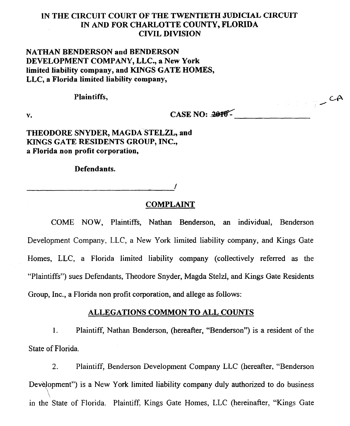# IN THE CIRCUIT COURT OF THE TWENTIETH JUDICIAL CIRCUIT IN AND FOR CHARLOTTE COUNTY, FLORIDA CIVIL DIVISION

# NATHAN BENDERSON and BENDERSON DEVELOPMENT COMPANY, LLC., a New York limited liability company, and KINGS GATE HOMES, LLC, a Florida limited liability company,

Plaintiffs, CA

 $V.$  CASE NO:  $20$ <sup>+</sup>

THEODORE SNYDER, MAGDA STELZL, and KINGS GATE RESIDENTS GROUP, INC., a Florida non profit corporation,

Defendants.

------- 1

COMPLAINT

COME NOW, Plaintiffs, Nathan Benderson, an individual, Benderson Development Company, LLC, a New York limited liability company, and Kings Gate Homes, LLC, a Florida limited liability company (collectively referred as the "Plaintiffs") sues Defendants, Theodore Snyder, Magda *Stelzl,* and Kings Gate Residents Group, Inc., a Florida non profit corporation, and allege as follows:

## ALLEGA TIONS COMMON TO ALL COUNTS

1. Plaintiff, Nathan Benderson, (hereafter, "Benderson") is a resident of the State of Florida.

2. Plaintiff, Benderson Development Company LLC (hereafter, "Benderson Development") is a New York limited liability company duly authorized to do business  $\mathcal{N}$  is a New York limited limited liability company during authorized to do business  $\mathcal{N}$ in the State of Florida. Plaintiff, Kings Gate Homes, LLC (hereinafter, "Kings Gate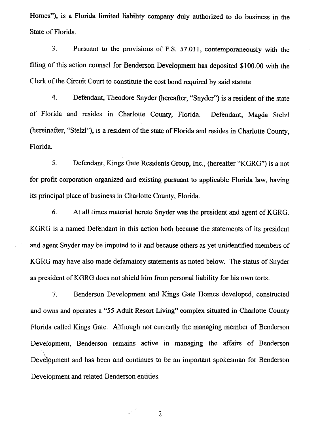Homes"), is a Florida limited liability company duly authorized to do business in the State of Florida.

3. Pursuant to the provisions of F.S. 57.011, contemporaneously with the filing of *this* action counsel for Benderson Development has deposited \$100.00 with the Clerk of the Circuit Court to constitute the cost bond required by said statute.

4. Defendant, Theodore Snyder (hereafter, "Snyder") is a resident of the state of Florida and resides in Charlotte County, Florida. Defendant, Magda Stelzl (hereinafter, "Stelzl"), is a resident of the state of Florida and resides in Charlotte County, Florida.

5. Defendant, Kings Gate Residents Group, Inc., (hereafter "KGRG") is a not for profit corporation organized and existing pursuant to applicable Florida law, having its principal place of business in Charlotte County, Florida.

6. At all times material hereto Snyder was the president and agent of KGRG. KGRG is a named Defendant in this action both because the statements of its president and agent Snyder may be imputed to it and because others as yet unidentified members of KGRG may have also made defamatory statements as noted below. The status of Snyder as president of KGRG does not shield him from personal liability for his own torts.

7. Benderson Development and Kings Gate Homes developed, constructed and owns and operates a "55 Adult Resort Living" complex situated in Charlotte County Florida called Kings Gate. Although not currently the managing member of Benderson Development, Benderson remains active in managing the affairs of Benderson Development and has been and continues to be an important spokesman for Benderson Development and related Benderson entities.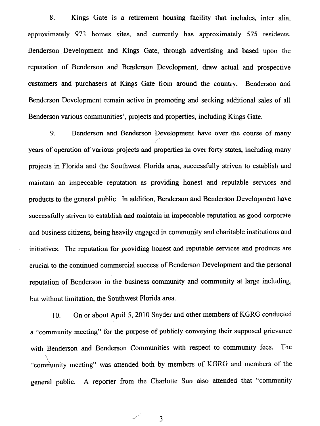8. Kings Gate is a retirement housing facility that includes. inter alia, approximately 973 homes sites, and currently has approximately 575 residents. Benderson Development and Kings Gate, through advenising and based upon the reputation of Benderson and Benderson Development, draw actual and prospective customers and purchasers at Kings Gate from around the country. Benderson and Benderson Development remain active in promoting and seeking additional sales of all Benderson various communities', projects and properties, including Kings Gate.

9. Benderson and Benderson Development have over the course of many years of operation of various projects and properties in over forty states, including many projects in Florida and the Southwest Florida area, successfully striven to establish and maintain an impeccable reputation as providing honest and reputable services and products to the general public. In addition, Benderson and Benderson Development have successfully striven to establish and maintain in impeccable reputation as good corporate and business citizens, being heavily engaged in community and charitable institutions and initiatives. The reputation for providing honest and reputable services and products are crucial to the continued commercial success of Benderson Development and the personal reputation of Benderson in the business community and community at large including, but without limitation, the Southwest Florida area.

10. On or about April 5, 2010 Snyder and other members of KGRG conducted a "community meeting" for the purpose of publicly conveying their supposed grievance with Benderson and Benderson Communities with respect to community fees. The "community meeting" was attended both by members of KGRG and members of the general public. A reporter from the Charlotte Sun also attended that "community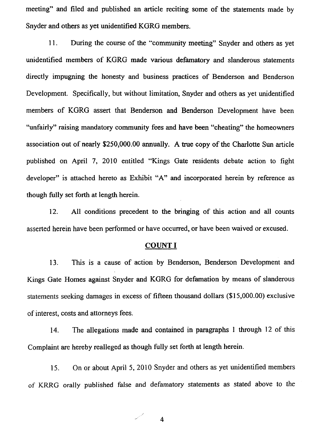meeting" and filed and published an article reciting some of the statements made by Snyder and others as yet unidentified KGRG members.

11. During the course of the "community meeting" Snyder and others as yet unidentified members of KGRG made various defamatory and slanderous statements directly impugning the honesty and business practices of Benderson and Benderson Development. Specifically, but without limitation, Snyder and others as yet unidentified members of KGRG assert that Benderson and Benderson Development have been "unfairly" raising mandatory community fees and have been "cheating" the homeowners association out of nearly \$250,000.00 annually. A true copy of the Charlotte Sun article published on April 7, 2010 entitled "Kings Gate residents debate action to fight developer" is attached hereto as Exhibit "A" and incorporated herein by reference as though fully set forth at length herein.

12. All conditions precedent to the bringing of this action and all counts asserted herein have been performed or have occurred, or have been waived or excused.

#### COUNT I

13. This is a cause of action by Benderson, Benderson Development and Kings Gate Homes against Snyder and KGRG for defamation by means of slanderous statements seeking damages in excess of fifteen thousand dollars (\$15,000.00) exclusive of interest, costs and attorneys fees.

14. The allegations made and contained in paragraphs 1 through 12 of this Complaint are hereby realleged as though fully set forth at length herein.

15. On or about April 5, 2010 Snyder and others as yet unidentified members of KRRG orally published false and defamatory statements as stated above to the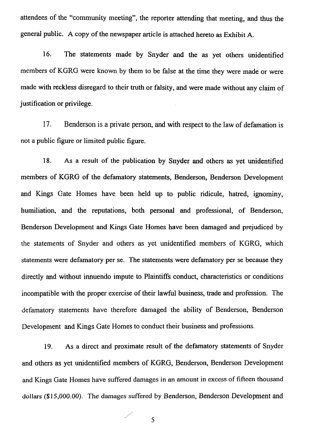attendees of the "community meeting", the reporter attending that meeting, and thus the general public. A copy of the newspaper article is attached hereto as Exhibit A.

16. The statements made by Snyder and the as yet others unidentified members of KGRG were known by them to be false at the time they were made or were made with reckless disregard to their truth or falsity, and were made without any claim of justification or privilege.

17. Benderson is a private person, and with respect to the law of defamation is not a public figure or limited public figure.

18. As a result of the publication by Snyder and others as yet unidentified members of KGRG of the defamatory statements, Benderson, Benderson Development and Kings Gate Homes have been held up to public ridicule, hatred, ignominy, humiliation, and the reputations, both personal and professional, of Benderson, Benderson Development and Kings Gate Homes have been damaged and prejudiced by the statements of Snyder and others as yet unidentified members of KGRG, which statements were defamatory per se. The statements were defamatory per se because they directly and without innuendo impute to Plaintiffs conduct, characteristics or conditions incompatible with the proper exercise of their lawful business, trade and profession. The defamatory statements have therefore damaged the ability of Benderson, Benderson Development and Kings Gate Homes to conduct their business and professions.

19. As a direct and proximate result of the defamatory statements of Snyder and others as yet unidentified members of KGRG, Benderson, Benderson Development and Kings Gate Homes have suffered damages in an amount in excess of fifteen thousand dollars (\$15,000.00). The damages suffered by Benderson, Benderson Development and

5

/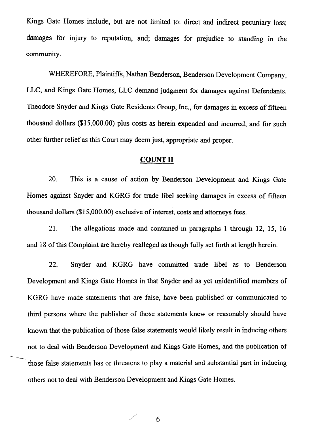Kings Gate Homes include, but are not limited to: direct and indirect pecuniary loss; damages for injury to reputation, and; damages for prejudice to standing in the community.

WHEREFORE, Plaintiffs, Nathan Benderson, Benderson Development Company, LLC, and Kings Gate Homes, LLC demand judgment for damages against Defendants, Theodore Snyder and Kings Gate Residents Group, Inc., for damages in excess of fifteen thousand dollars (\$15,000.00) plus costs as herein expended and incurred, and for such other further relief as this Court may deem just, appropriate and proper.

## COUNT II

20. This is a cause of action by Benderson Development and Kings Gate Homes against Snyder and KGRG for trade libel seeking damages in excess of fifteen thousand dollars (\$15,000.00) exclusive of interest, costs and attorneys fees.

21. The allegations made and contained in paragraphs 1 through 12, 15, 16 and 18 of this Complaint are hereby realleged as though fully set forth at length herein.

22. Snyder and KGRG have committed trade libel as to Benderson Development and Kings Gate Homes in that Snyder and as yet unidentified members of KGRG have made statements that are false, have been published or communicated to third persons where the publisher of those statements knew or reasonably should have known that the publication of those false statements would likely result in inducing others not to deal with Benderson Development and Kings Gate Homes, and the publication of those false statements has or threatens to play a material and substantial part in inducing others not to deal with Benderson Development and Kings Gate Homes.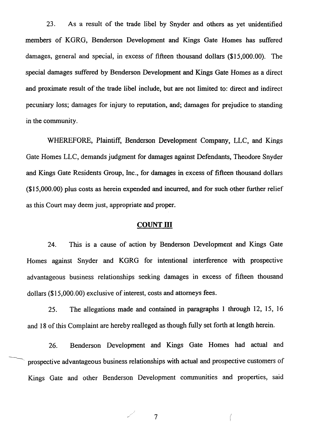23. As a result of the trade libel by Snyder and others as yet unidentified members of KGRG, Benderson Development and Kings Gate Homes has suffered damages, general and special, in excess of fifteen thousand dollars (\$15,000.00). The special damages suffered by Benderson Development and Kings Gate Homes as a direct and proximate result of the trade libel include, but are not limited to: direct and indirect pecuniary loss; damages for injury to reputation, and; damages for prejudice to standing in the community.

WHEREFORE, Plaintiff, Benderson Development Company, LLC, and Kings Gate Homes LLC, demands judgment for damages against Defendants, Theodore Snyder and Kings Gate Residents Group, Inc., for damages in excess of fifteen thousand dollars (\$15,000.00) plus costs as herein expended and incurred, and for such other further relief as this Court may deem just, appropriate and proper.

## COUNT III

24. This is a cause of action by Benderson Development and Kings Gate Homes against Snyder and KGRG for intentional interference with prospective advantageous business relationships seeking damages in excess of fifteen thousand dollars (\$15,000.00) exclusive of interest, costs and attorneys fees.

25. The allegations made and contained in paragraphs 1 through 12, 15, 16 and 18 of this Complaint are hereby realleged as though fully set forth at length herein.

26. Benderson Development and Kings Gate Homes had actual and prospective advantageous business relationships with actual and prospective customers of Kings Gate and other Benderson Development communities and properties, said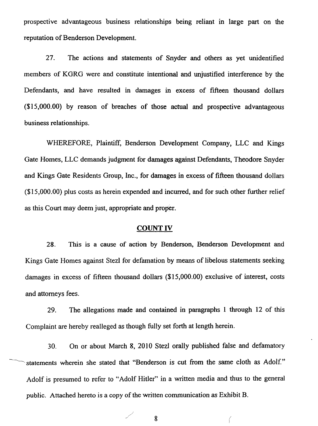prospective advantageous business relationships being reliant in large part on the reputation of Benderson Development.

27. The actions and statements of Snyder and others as yet unidentified members of KGRG were and constitute intentional and unjustified interference by the Defendants, and have resulted in damages in excess of fifteen thousand dollars (\$15,000.00) by reason of breaches of those actual and prospective advantageous business relationships.

WHEREFORE, Plaintiff, Benderson Development Company, LLC and Kings Gate Homes, LLC demands judgment for damages against Defendants, Theodore Snyder and Kings Gate Residents Group, Inc., for damages in excess of fifteen thousand dollars (\$15,000.00) plus costs as herein expended and incurred, and for such other further relief as this Court may deem just, appropriate and proper.

## COUNT IV

28. This is a cause of action by Benderson, Benderson Development and Kings Gate Homes against Stezl for defamation by means of libelous statements seeking damages in excess of fifteen thousand dollars  $(\$15,000.00)$  exclusive of interest, costs and attorneys fees.

29. The allegations made and contained in paragraphs I through 12 of this Complaint are hereby realleged as though fully set forth at length herein.

30. On or about March 8, 2010 StezI orally published false and defamatory statements wherein she stated that "Benderson is cut from the same cloth as Adolf." Adolf is presumed to refer to "Adolf Hitler" in a written media and thus to the general public. Attached hereto is a copy of the written communication as Exhibit B.

 $\angle$  8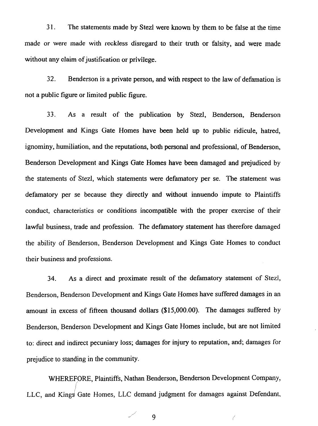31. The statements made by Stezl were known by them to be false at the time made or were made with reckless disregard to their truth or falsity, and were made without any claim of justification or privilege.

32. Henderson is a private person, and with respect to the law of defamation is not a public figure or limited public figure.

33. As a result of the publication by Stezl, Benderson, Benderson Development and Kings Gate Homes have been held up to public ridicule, hatred, ignominy, humiliation, and the reputations, both personal and professional, of Benderson, Benderson Development and Kings Gate Homes have been damaged and prejudiced by the statements of Stezl, which statements were defamatory per se. The statement was defamatory per se because they directly and without innuendo impute to Plaintiffs conduct, characteristics or conditions incompatible with the proper exercise of their lawful business, trade and profession. The defamatory statement has therefore damaged the ability of Benderson, Benderson Development and Kings Gate Homes to conduct their business and professions.

34. As a direct and proximate result of the defamatory statement of Stezl, Benderson, Henderson Development and Kings Gate Homes have suffered damages in an amount in excess of fifteen thousand dollars (\$15,000.00). The damages suffered by Benderson, Benderson Development and Kings Gate Homes include, but are not limited to: direct and indirect pecuniary loss; damages for injury to reputation, and; damages for prejudice to standing in the community.

WHEREFORE, Plaintiffs, Nathan Benderson, Benderson Development Company, LLC, and Kings Gate Homes, LLC demand judgment for damages against Defendant,